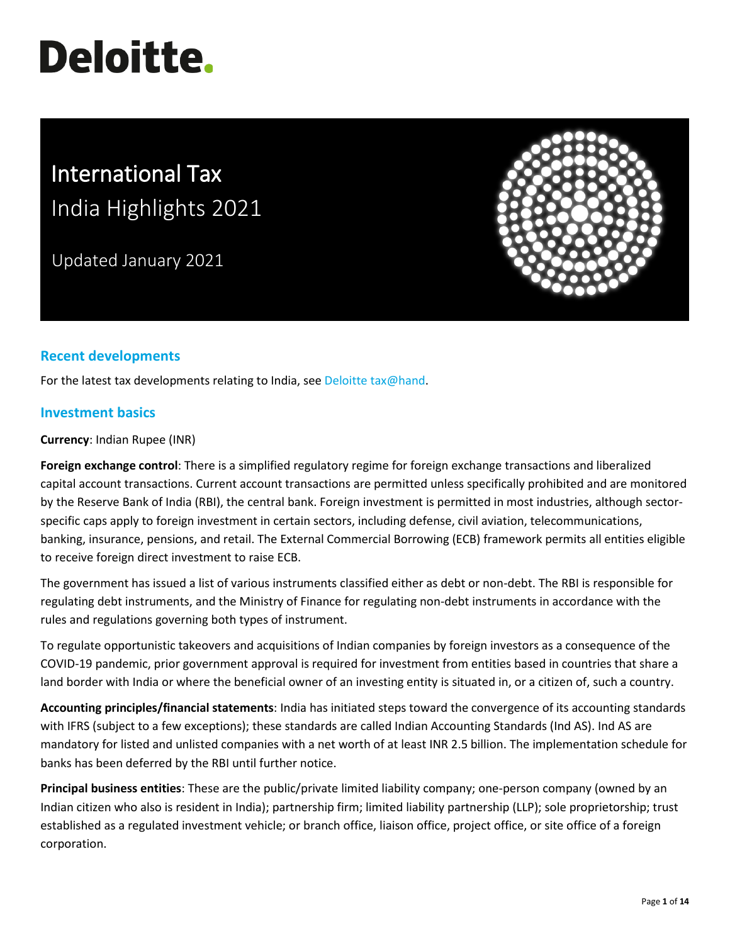# **Deloitte.**

# International Tax India Highlights 2021

Updated January 2021



# **Recent developments**

For the latest tax developments relating to India, see [Deloitte tax@hand.](https://www.taxathand.com/world-news/India)

## **Investment basics**

**Currency**: Indian Rupee (INR)

**Foreign exchange control**: There is a simplified regulatory regime for foreign exchange transactions and liberalized capital account transactions. Current account transactions are permitted unless specifically prohibited and are monitored by the Reserve Bank of India (RBI), the central bank. Foreign investment is permitted in most industries, although sectorspecific caps apply to foreign investment in certain sectors, including defense, civil aviation, telecommunications, banking, insurance, pensions, and retail. The External Commercial Borrowing (ECB) framework permits all entities eligible to receive foreign direct investment to raise ECB.

The government has issued a list of various instruments classified either as debt or non-debt. The RBI is responsible for regulating debt instruments, and the Ministry of Finance for regulating non-debt instruments in accordance with the rules and regulations governing both types of instrument.

To regulate opportunistic takeovers and acquisitions of Indian companies by foreign investors as a consequence of the COVID-19 pandemic, prior government approval is required for investment from entities based in countries that share a land border with India or where the beneficial owner of an investing entity is situated in, or a citizen of, such a country.

**Accounting principles/financial statements**: India has initiated steps toward the convergence of its accounting standards with IFRS (subject to a few exceptions); these standards are called Indian Accounting Standards (Ind AS). Ind AS are mandatory for listed and unlisted companies with a net worth of at least INR 2.5 billion. The implementation schedule for banks has been deferred by the RBI until further notice.

**Principal business entities**: These are the public/private limited liability company; one-person company (owned by an Indian citizen who also is resident in India); partnership firm; limited liability partnership (LLP); sole proprietorship; trust established as a regulated investment vehicle; or branch office, liaison office, project office, or site office of a foreign corporation.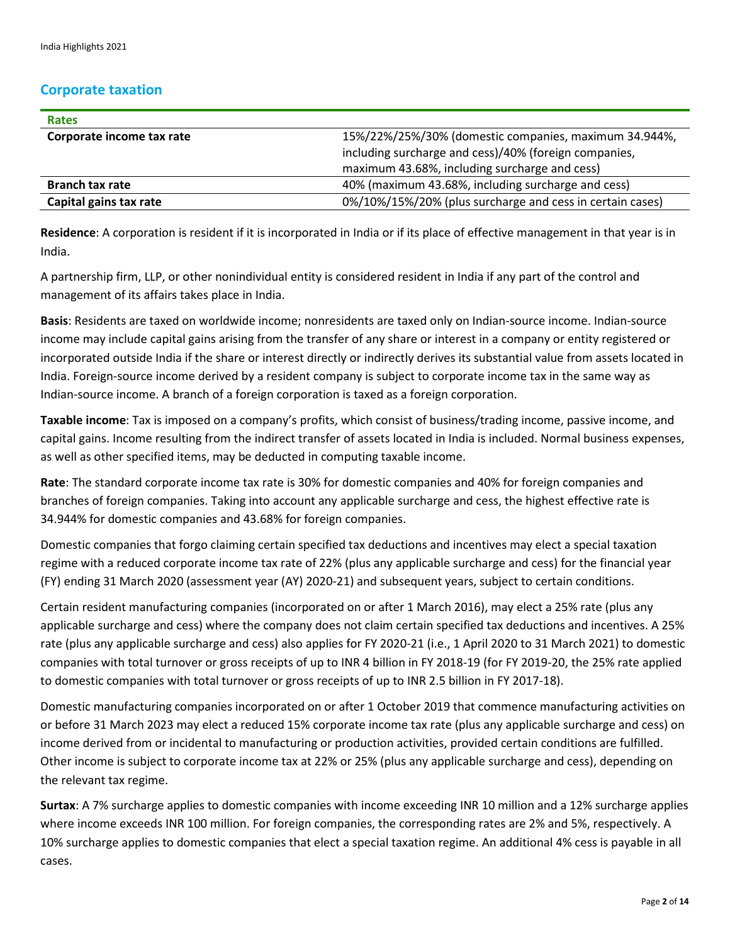# **Corporate taxation**

| <b>Rates</b>              |                                                           |
|---------------------------|-----------------------------------------------------------|
| Corporate income tax rate | 15%/22%/25%/30% (domestic companies, maximum 34.944%,     |
|                           | including surcharge and cess)/40% (foreign companies,     |
|                           | maximum 43.68%, including surcharge and cess)             |
| <b>Branch tax rate</b>    | 40% (maximum 43.68%, including surcharge and cess)        |
| Capital gains tax rate    | 0%/10%/15%/20% (plus surcharge and cess in certain cases) |

**Residence**: A corporation is resident if it is incorporated in India or if its place of effective management in that year is in India.

A partnership firm, LLP, or other nonindividual entity is considered resident in India if any part of the control and management of its affairs takes place in India.

**Basis**: Residents are taxed on worldwide income; nonresidents are taxed only on Indian-source income. Indian-source income may include capital gains arising from the transfer of any share or interest in a company or entity registered or incorporated outside India if the share or interest directly or indirectly derives its substantial value from assets located in India. Foreign-source income derived by a resident company is subject to corporate income tax in the same way as Indian-source income. A branch of a foreign corporation is taxed as a foreign corporation.

**Taxable income**: Tax is imposed on a company's profits, which consist of business/trading income, passive income, and capital gains. Income resulting from the indirect transfer of assets located in India is included. Normal business expenses, as well as other specified items, may be deducted in computing taxable income.

**Rate**: The standard corporate income tax rate is 30% for domestic companies and 40% for foreign companies and branches of foreign companies. Taking into account any applicable surcharge and cess, the highest effective rate is 34.944% for domestic companies and 43.68% for foreign companies.

Domestic companies that forgo claiming certain specified tax deductions and incentives may elect a special taxation regime with a reduced corporate income tax rate of 22% (plus any applicable surcharge and cess) for the financial year (FY) ending 31 March 2020 (assessment year (AY) 2020-21) and subsequent years, subject to certain conditions.

Certain resident manufacturing companies (incorporated on or after 1 March 2016), may elect a 25% rate (plus any applicable surcharge and cess) where the company does not claim certain specified tax deductions and incentives. A 25% rate (plus any applicable surcharge and cess) also applies for FY 2020-21 (i.e., 1 April 2020 to 31 March 2021) to domestic companies with total turnover or gross receipts of up to INR 4 billion in FY 2018-19 (for FY 2019-20, the 25% rate applied to domestic companies with total turnover or gross receipts of up to INR 2.5 billion in FY 2017-18).

Domestic manufacturing companies incorporated on or after 1 October 2019 that commence manufacturing activities on or before 31 March 2023 may elect a reduced 15% corporate income tax rate (plus any applicable surcharge and cess) on income derived from or incidental to manufacturing or production activities, provided certain conditions are fulfilled. Other income is subject to corporate income tax at 22% or 25% (plus any applicable surcharge and cess), depending on the relevant tax regime.

**Surtax**: A 7% surcharge applies to domestic companies with income exceeding INR 10 million and a 12% surcharge applies where income exceeds INR 100 million. For foreign companies, the corresponding rates are 2% and 5%, respectively. A 10% surcharge applies to domestic companies that elect a special taxation regime. An additional 4% cess is payable in all cases.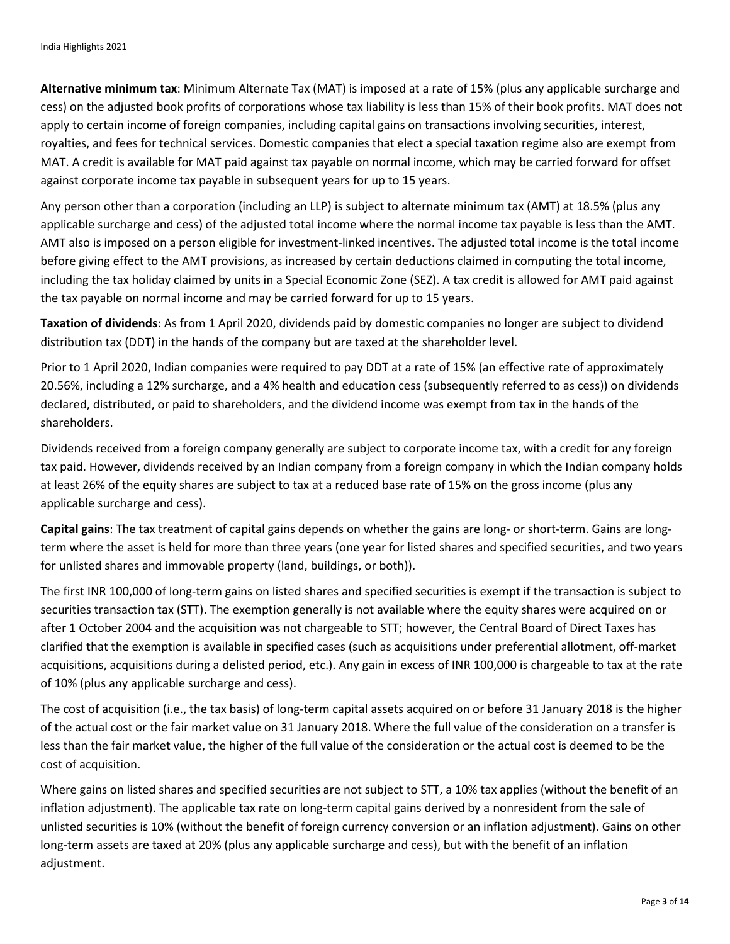**Alternative minimum tax**: Minimum Alternate Tax (MAT) is imposed at a rate of 15% (plus any applicable surcharge and cess) on the adjusted book profits of corporations whose tax liability is less than 15% of their book profits. MAT does not apply to certain income of foreign companies, including capital gains on transactions involving securities, interest, royalties, and fees for technical services. Domestic companies that elect a special taxation regime also are exempt from MAT. A credit is available for MAT paid against tax payable on normal income, which may be carried forward for offset against corporate income tax payable in subsequent years for up to 15 years.

Any person other than a corporation (including an LLP) is subject to alternate minimum tax (AMT) at 18.5% (plus any applicable surcharge and cess) of the adjusted total income where the normal income tax payable is less than the AMT. AMT also is imposed on a person eligible for investment-linked incentives. The adjusted total income is the total income before giving effect to the AMT provisions, as increased by certain deductions claimed in computing the total income, including the tax holiday claimed by units in a Special Economic Zone (SEZ). A tax credit is allowed for AMT paid against the tax payable on normal income and may be carried forward for up to 15 years.

**Taxation of dividends**: As from 1 April 2020, dividends paid by domestic companies no longer are subject to dividend distribution tax (DDT) in the hands of the company but are taxed at the shareholder level.

Prior to 1 April 2020, Indian companies were required to pay DDT at a rate of 15% (an effective rate of approximately 20.56%, including a 12% surcharge, and a 4% health and education cess (subsequently referred to as cess)) on dividends declared, distributed, or paid to shareholders, and the dividend income was exempt from tax in the hands of the shareholders.

Dividends received from a foreign company generally are subject to corporate income tax, with a credit for any foreign tax paid. However, dividends received by an Indian company from a foreign company in which the Indian company holds at least 26% of the equity shares are subject to tax at a reduced base rate of 15% on the gross income (plus any applicable surcharge and cess).

**Capital gains**: The tax treatment of capital gains depends on whether the gains are long- or short-term. Gains are longterm where the asset is held for more than three years (one year for listed shares and specified securities, and two years for unlisted shares and immovable property (land, buildings, or both)).

The first INR 100,000 of long-term gains on listed shares and specified securities is exempt if the transaction is subject to securities transaction tax (STT). The exemption generally is not available where the equity shares were acquired on or after 1 October 2004 and the acquisition was not chargeable to STT; however, the Central Board of Direct Taxes has clarified that the exemption is available in specified cases (such as acquisitions under preferential allotment, off-market acquisitions, acquisitions during a delisted period, etc.). Any gain in excess of INR 100,000 is chargeable to tax at the rate of 10% (plus any applicable surcharge and cess).

The cost of acquisition (i.e., the tax basis) of long-term capital assets acquired on or before 31 January 2018 is the higher of the actual cost or the fair market value on 31 January 2018. Where the full value of the consideration on a transfer is less than the fair market value, the higher of the full value of the consideration or the actual cost is deemed to be the cost of acquisition.

Where gains on listed shares and specified securities are not subject to STT, a 10% tax applies (without the benefit of an inflation adjustment). The applicable tax rate on long-term capital gains derived by a nonresident from the sale of unlisted securities is 10% (without the benefit of foreign currency conversion or an inflation adjustment). Gains on other long-term assets are taxed at 20% (plus any applicable surcharge and cess), but with the benefit of an inflation adjustment.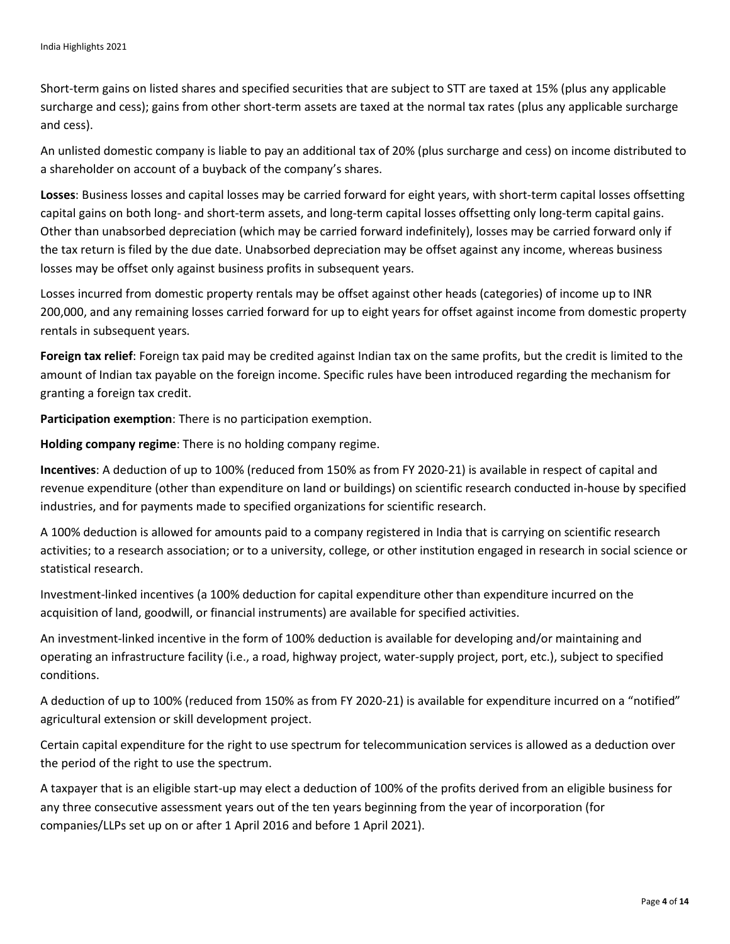Short-term gains on listed shares and specified securities that are subject to STT are taxed at 15% (plus any applicable surcharge and cess); gains from other short-term assets are taxed at the normal tax rates (plus any applicable surcharge and cess).

An unlisted domestic company is liable to pay an additional tax of 20% (plus surcharge and cess) on income distributed to a shareholder on account of a buyback of the company's shares.

**Losses**: Business losses and capital losses may be carried forward for eight years, with short-term capital losses offsetting capital gains on both long- and short-term assets, and long-term capital losses offsetting only long-term capital gains. Other than unabsorbed depreciation (which may be carried forward indefinitely), losses may be carried forward only if the tax return is filed by the due date. Unabsorbed depreciation may be offset against any income, whereas business losses may be offset only against business profits in subsequent years.

Losses incurred from domestic property rentals may be offset against other heads (categories) of income up to INR 200,000, and any remaining losses carried forward for up to eight years for offset against income from domestic property rentals in subsequent years.

**Foreign tax relief**: Foreign tax paid may be credited against Indian tax on the same profits, but the credit is limited to the amount of Indian tax payable on the foreign income. Specific rules have been introduced regarding the mechanism for granting a foreign tax credit.

**Participation exemption**: There is no participation exemption.

**Holding company regime**: There is no holding company regime.

**Incentives**: A deduction of up to 100% (reduced from 150% as from FY 2020-21) is available in respect of capital and revenue expenditure (other than expenditure on land or buildings) on scientific research conducted in-house by specified industries, and for payments made to specified organizations for scientific research.

A 100% deduction is allowed for amounts paid to a company registered in India that is carrying on scientific research activities; to a research association; or to a university, college, or other institution engaged in research in social science or statistical research.

Investment-linked incentives (a 100% deduction for capital expenditure other than expenditure incurred on the acquisition of land, goodwill, or financial instruments) are available for specified activities.

An investment-linked incentive in the form of 100% deduction is available for developing and/or maintaining and operating an infrastructure facility (i.e., a road, highway project, water-supply project, port, etc.), subject to specified conditions.

A deduction of up to 100% (reduced from 150% as from FY 2020-21) is available for expenditure incurred on a "notified" agricultural extension or skill development project.

Certain capital expenditure for the right to use spectrum for telecommunication services is allowed as a deduction over the period of the right to use the spectrum.

A taxpayer that is an eligible start-up may elect a deduction of 100% of the profits derived from an eligible business for any three consecutive assessment years out of the ten years beginning from the year of incorporation (for companies/LLPs set up on or after 1 April 2016 and before 1 April 2021).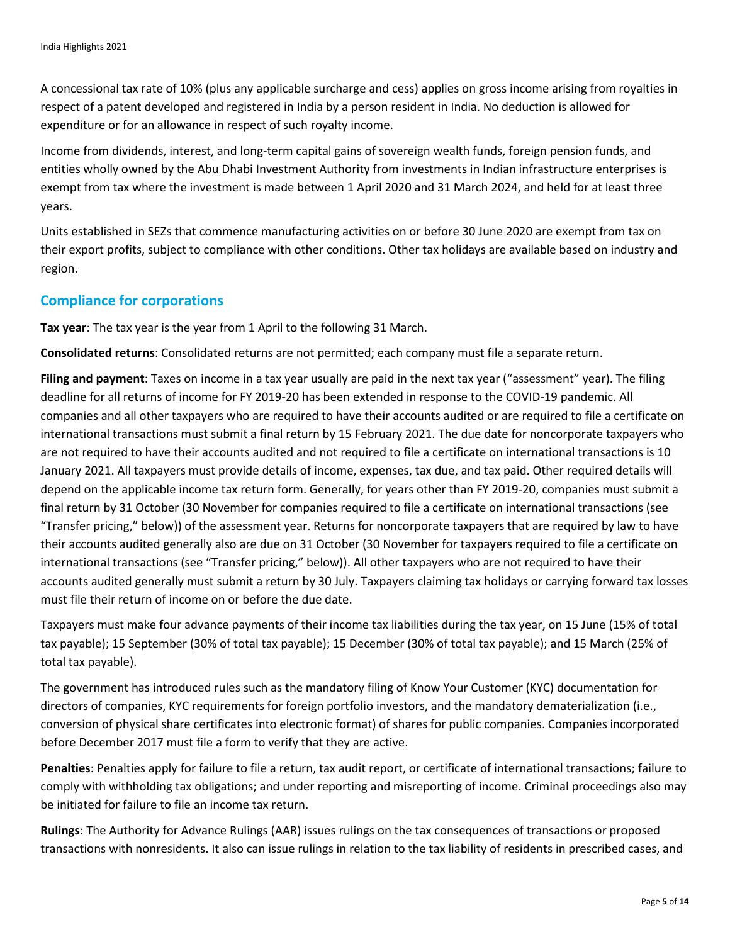A concessional tax rate of 10% (plus any applicable surcharge and cess) applies on gross income arising from royalties in respect of a patent developed and registered in India by a person resident in India. No deduction is allowed for expenditure or for an allowance in respect of such royalty income.

Income from dividends, interest, and long-term capital gains of sovereign wealth funds, foreign pension funds, and entities wholly owned by the Abu Dhabi Investment Authority from investments in Indian infrastructure enterprises is exempt from tax where the investment is made between 1 April 2020 and 31 March 2024, and held for at least three years.

Units established in SEZs that commence manufacturing activities on or before 30 June 2020 are exempt from tax on their export profits, subject to compliance with other conditions. Other tax holidays are available based on industry and region.

## **Compliance for corporations**

**Tax year**: The tax year is the year from 1 April to the following 31 March.

**Consolidated returns**: Consolidated returns are not permitted; each company must file a separate return.

**Filing and payment**: Taxes on income in a tax year usually are paid in the next tax year ("assessment" year). The filing deadline for all returns of income for FY 2019-20 has been extended in response to the COVID-19 pandemic. All companies and all other taxpayers who are required to have their accounts audited or are required to file a certificate on international transactions must submit a final return by 15 February 2021. The due date for noncorporate taxpayers who are not required to have their accounts audited and not required to file a certificate on international transactions is 10 January 2021. All taxpayers must provide details of income, expenses, tax due, and tax paid. Other required details will depend on the applicable income tax return form. Generally, for years other than FY 2019-20, companies must submit a final return by 31 October (30 November for companies required to file a certificate on international transactions (see "Transfer pricing," below)) of the assessment year. Returns for noncorporate taxpayers that are required by law to have their accounts audited generally also are due on 31 October (30 November for taxpayers required to file a certificate on international transactions (see "Transfer pricing," below)). All other taxpayers who are not required to have their accounts audited generally must submit a return by 30 July. Taxpayers claiming tax holidays or carrying forward tax losses must file their return of income on or before the due date.

Taxpayers must make four advance payments of their income tax liabilities during the tax year, on 15 June (15% of total tax payable); 15 September (30% of total tax payable); 15 December (30% of total tax payable); and 15 March (25% of total tax payable).

The government has introduced rules such as the mandatory filing of Know Your Customer (KYC) documentation for directors of companies, KYC requirements for foreign portfolio investors, and the mandatory dematerialization (i.e., conversion of physical share certificates into electronic format) of shares for public companies. Companies incorporated before December 2017 must file a form to verify that they are active.

**Penalties**: Penalties apply for failure to file a return, tax audit report, or certificate of international transactions; failure to comply with withholding tax obligations; and under reporting and misreporting of income. Criminal proceedings also may be initiated for failure to file an income tax return.

**Rulings**: The Authority for Advance Rulings (AAR) issues rulings on the tax consequences of transactions or proposed transactions with nonresidents. It also can issue rulings in relation to the tax liability of residents in prescribed cases, and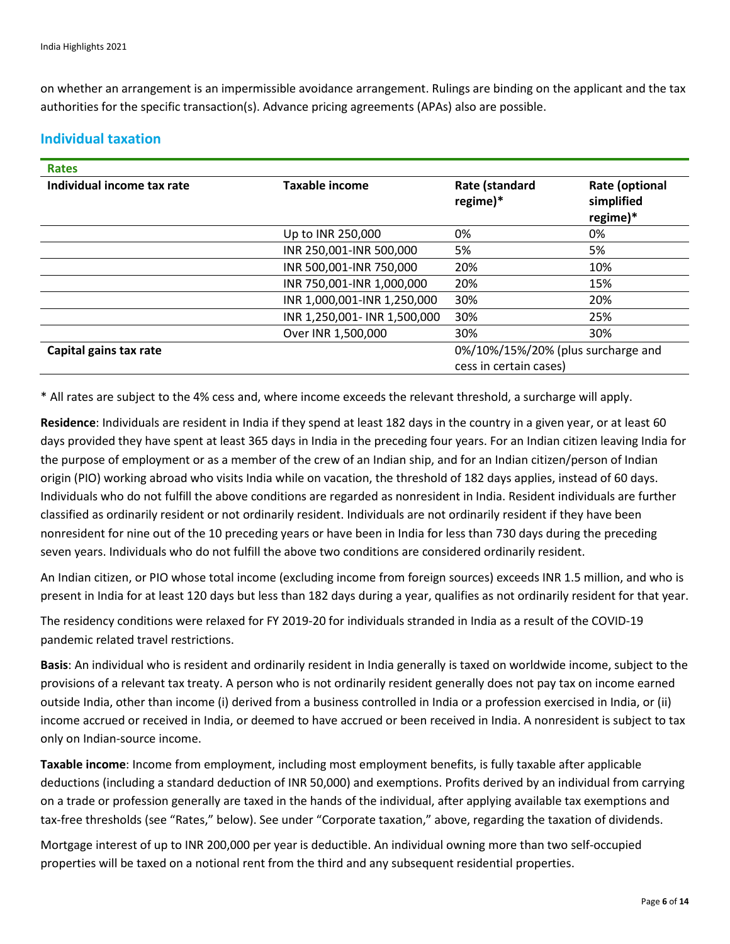on whether an arrangement is an impermissible avoidance arrangement. Rulings are binding on the applicant and the tax authorities for the specific transaction(s). Advance pricing agreements (APAs) also are possible.

# **Individual taxation**

| <b>Rates</b>               |                              |                                    |                                                 |
|----------------------------|------------------------------|------------------------------------|-------------------------------------------------|
| Individual income tax rate | <b>Taxable income</b>        | Rate (standard<br>regime)*         | <b>Rate (optional</b><br>simplified<br>regime)* |
|                            | Up to INR 250,000            | 0%                                 | 0%                                              |
|                            | INR 250,001-INR 500,000      | 5%                                 | 5%                                              |
|                            | INR 500,001-INR 750,000      | 20%                                | 10%                                             |
|                            | INR 750,001-INR 1,000,000    | 20%                                | 15%                                             |
|                            | INR 1,000,001-INR 1,250,000  | 30%                                | 20%                                             |
|                            | INR 1,250,001- INR 1,500,000 | 30%                                | 25%                                             |
|                            | Over INR 1,500,000           | 30%                                | 30%                                             |
| Capital gains tax rate     |                              | 0%/10%/15%/20% (plus surcharge and |                                                 |
|                            |                              | cess in certain cases)             |                                                 |

\* All rates are subject to the 4% cess and, where income exceeds the relevant threshold, a surcharge will apply.

**Residence**: Individuals are resident in India if they spend at least 182 days in the country in a given year, or at least 60 days provided they have spent at least 365 days in India in the preceding four years. For an Indian citizen leaving India for the purpose of employment or as a member of the crew of an Indian ship, and for an Indian citizen/person of Indian origin (PIO) working abroad who visits India while on vacation, the threshold of 182 days applies, instead of 60 days. Individuals who do not fulfill the above conditions are regarded as nonresident in India. Resident individuals are further classified as ordinarily resident or not ordinarily resident. Individuals are not ordinarily resident if they have been nonresident for nine out of the 10 preceding years or have been in India for less than 730 days during the preceding seven years. Individuals who do not fulfill the above two conditions are considered ordinarily resident.

An Indian citizen, or PIO whose total income (excluding income from foreign sources) exceeds INR 1.5 million, and who is present in India for at least 120 days but less than 182 days during a year, qualifies as not ordinarily resident for that year.

The residency conditions were relaxed for FY 2019-20 for individuals stranded in India as a result of the COVID-19 pandemic related travel restrictions.

**Basis**: An individual who is resident and ordinarily resident in India generally is taxed on worldwide income, subject to the provisions of a relevant tax treaty. A person who is not ordinarily resident generally does not pay tax on income earned outside India, other than income (i) derived from a business controlled in India or a profession exercised in India, or (ii) income accrued or received in India, or deemed to have accrued or been received in India. A nonresident is subject to tax only on Indian-source income.

**Taxable income**: Income from employment, including most employment benefits, is fully taxable after applicable deductions (including a standard deduction of INR 50,000) and exemptions. Profits derived by an individual from carrying on a trade or profession generally are taxed in the hands of the individual, after applying available tax exemptions and tax-free thresholds (see "Rates," below). See under "Corporate taxation," above, regarding the taxation of dividends.

Mortgage interest of up to INR 200,000 per year is deductible. An individual owning more than two self-occupied properties will be taxed on a notional rent from the third and any subsequent residential properties.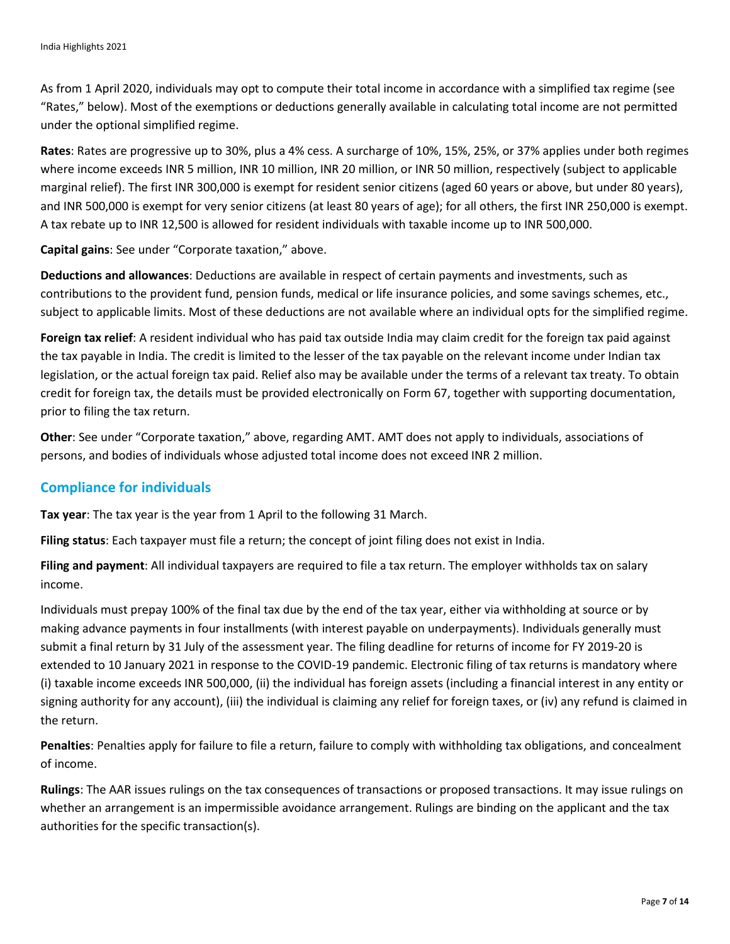As from 1 April 2020, individuals may opt to compute their total income in accordance with a simplified tax regime (see "Rates," below). Most of the exemptions or deductions generally available in calculating total income are not permitted under the optional simplified regime.

**Rates**: Rates are progressive up to 30%, plus a 4% cess. A surcharge of 10%, 15%, 25%, or 37% applies under both regimes where income exceeds INR 5 million, INR 10 million, INR 20 million, or INR 50 million, respectively (subject to applicable marginal relief). The first INR 300,000 is exempt for resident senior citizens (aged 60 years or above, but under 80 years), and INR 500,000 is exempt for very senior citizens (at least 80 years of age); for all others, the first INR 250,000 is exempt. A tax rebate up to INR 12,500 is allowed for resident individuals with taxable income up to INR 500,000.

**Capital gains**: See under "Corporate taxation," above.

**Deductions and allowances**: Deductions are available in respect of certain payments and investments, such as contributions to the provident fund, pension funds, medical or life insurance policies, and some savings schemes, etc., subject to applicable limits. Most of these deductions are not available where an individual opts for the simplified regime.

**Foreign tax relief**: A resident individual who has paid tax outside India may claim credit for the foreign tax paid against the tax payable in India. The credit is limited to the lesser of the tax payable on the relevant income under Indian tax legislation, or the actual foreign tax paid. Relief also may be available under the terms of a relevant tax treaty. To obtain credit for foreign tax, the details must be provided electronically on Form 67, together with supporting documentation, prior to filing the tax return.

**Other**: See under "Corporate taxation," above, regarding AMT. AMT does not apply to individuals, associations of persons, and bodies of individuals whose adjusted total income does not exceed INR 2 million.

## **Compliance for individuals**

**Tax year**: The tax year is the year from 1 April to the following 31 March.

**Filing status**: Each taxpayer must file a return; the concept of joint filing does not exist in India.

**Filing and payment**: All individual taxpayers are required to file a tax return. The employer withholds tax on salary income.

Individuals must prepay 100% of the final tax due by the end of the tax year, either via withholding at source or by making advance payments in four installments (with interest payable on underpayments). Individuals generally must submit a final return by 31 July of the assessment year. The filing deadline for returns of income for FY 2019-20 is extended to 10 January 2021 in response to the COVID-19 pandemic. Electronic filing of tax returns is mandatory where (i) taxable income exceeds INR 500,000, (ii) the individual has foreign assets (including a financial interest in any entity or signing authority for any account), (iii) the individual is claiming any relief for foreign taxes, or (iv) any refund is claimed in the return.

**Penalties**: Penalties apply for failure to file a return, failure to comply with withholding tax obligations, and concealment of income.

**Rulings**: The AAR issues rulings on the tax consequences of transactions or proposed transactions. It may issue rulings on whether an arrangement is an impermissible avoidance arrangement. Rulings are binding on the applicant and the tax authorities for the specific transaction(s).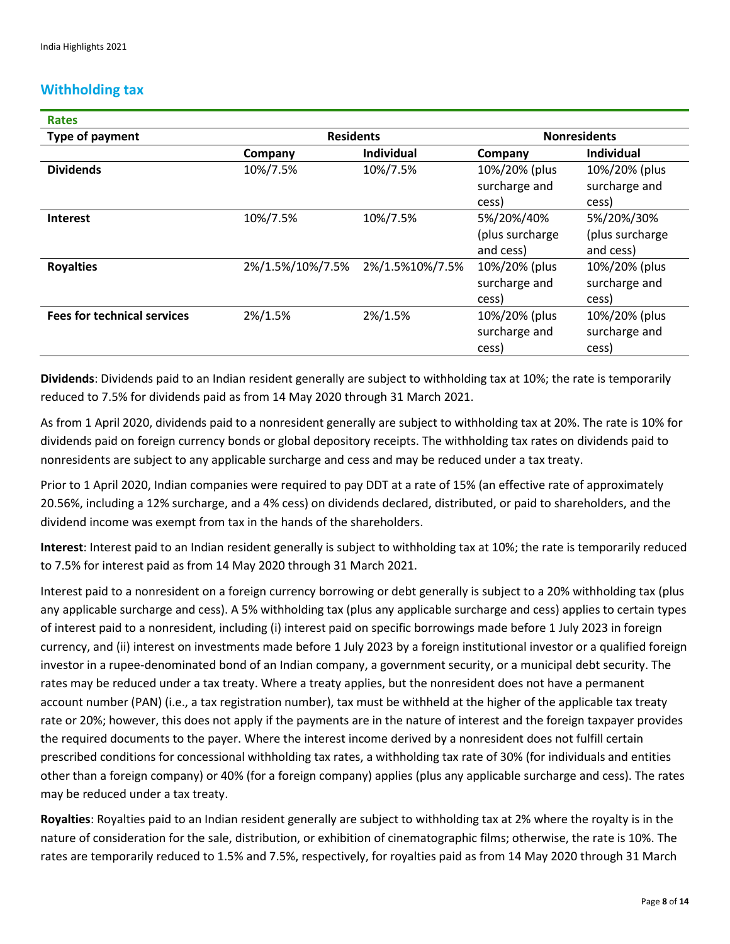# **Withholding tax**

| <b>Rates</b>                       |                  |                   |                                            |                                            |
|------------------------------------|------------------|-------------------|--------------------------------------------|--------------------------------------------|
| Type of payment                    | <b>Residents</b> |                   | <b>Nonresidents</b>                        |                                            |
|                                    | Company          | <b>Individual</b> | Company                                    | <b>Individual</b>                          |
| <b>Dividends</b>                   | 10%/7.5%         | 10%/7.5%          | 10%/20% (plus<br>surcharge and<br>cess)    | 10%/20% (plus<br>surcharge and<br>cess)    |
| <b>Interest</b>                    | 10%/7.5%         | 10%/7.5%          | 5%/20%/40%<br>(plus surcharge<br>and cess) | 5%/20%/30%<br>(plus surcharge<br>and cess) |
| <b>Royalties</b>                   | 2%/1.5%/10%/7.5% | 2%/1.5%10%/7.5%   | 10%/20% (plus<br>surcharge and<br>cess)    | 10%/20% (plus<br>surcharge and<br>cess)    |
| <b>Fees for technical services</b> | 2%/1.5%          | 2%/1.5%           | 10%/20% (plus<br>surcharge and<br>cess)    | 10%/20% (plus<br>surcharge and<br>cess)    |

**Dividends**: Dividends paid to an Indian resident generally are subject to withholding tax at 10%; the rate is temporarily reduced to 7.5% for dividends paid as from 14 May 2020 through 31 March 2021.

As from 1 April 2020, dividends paid to a nonresident generally are subject to withholding tax at 20%. The rate is 10% for dividends paid on foreign currency bonds or global depository receipts. The withholding tax rates on dividends paid to nonresidents are subject to any applicable surcharge and cess and may be reduced under a tax treaty.

Prior to 1 April 2020, Indian companies were required to pay DDT at a rate of 15% (an effective rate of approximately 20.56%, including a 12% surcharge, and a 4% cess) on dividends declared, distributed, or paid to shareholders, and the dividend income was exempt from tax in the hands of the shareholders.

**Interest**: Interest paid to an Indian resident generally is subject to withholding tax at 10%; the rate is temporarily reduced to 7.5% for interest paid as from 14 May 2020 through 31 March 2021.

Interest paid to a nonresident on a foreign currency borrowing or debt generally is subject to a 20% withholding tax (plus any applicable surcharge and cess). A 5% withholding tax (plus any applicable surcharge and cess) applies to certain types of interest paid to a nonresident, including (i) interest paid on specific borrowings made before 1 July 2023 in foreign currency, and (ii) interest on investments made before 1 July 2023 by a foreign institutional investor or a qualified foreign investor in a rupee-denominated bond of an Indian company, a government security, or a municipal debt security. The rates may be reduced under a tax treaty. Where a treaty applies, but the nonresident does not have a permanent account number (PAN) (i.e., a tax registration number), tax must be withheld at the higher of the applicable tax treaty rate or 20%; however, this does not apply if the payments are in the nature of interest and the foreign taxpayer provides the required documents to the payer. Where the interest income derived by a nonresident does not fulfill certain prescribed conditions for concessional withholding tax rates, a withholding tax rate of 30% (for individuals and entities other than a foreign company) or 40% (for a foreign company) applies (plus any applicable surcharge and cess). The rates may be reduced under a tax treaty.

**Royalties**: Royalties paid to an Indian resident generally are subject to withholding tax at 2% where the royalty is in the nature of consideration for the sale, distribution, or exhibition of cinematographic films; otherwise, the rate is 10%. The rates are temporarily reduced to 1.5% and 7.5%, respectively, for royalties paid as from 14 May 2020 through 31 March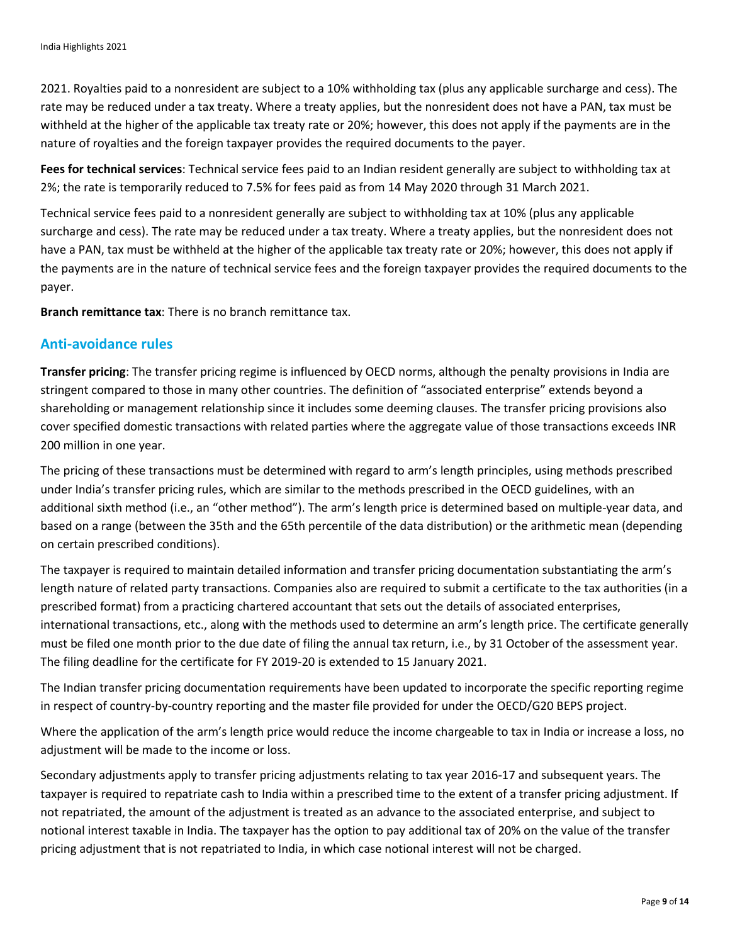2021. Royalties paid to a nonresident are subject to a 10% withholding tax (plus any applicable surcharge and cess). The rate may be reduced under a tax treaty. Where a treaty applies, but the nonresident does not have a PAN, tax must be withheld at the higher of the applicable tax treaty rate or 20%; however, this does not apply if the payments are in the nature of royalties and the foreign taxpayer provides the required documents to the payer.

**Fees for technical services**: Technical service fees paid to an Indian resident generally are subject to withholding tax at 2%; the rate is temporarily reduced to 7.5% for fees paid as from 14 May 2020 through 31 March 2021.

Technical service fees paid to a nonresident generally are subject to withholding tax at 10% (plus any applicable surcharge and cess). The rate may be reduced under a tax treaty. Where a treaty applies, but the nonresident does not have a PAN, tax must be withheld at the higher of the applicable tax treaty rate or 20%; however, this does not apply if the payments are in the nature of technical service fees and the foreign taxpayer provides the required documents to the payer.

**Branch remittance tax**: There is no branch remittance tax.

## **Anti-avoidance rules**

**Transfer pricing**: The transfer pricing regime is influenced by OECD norms, although the penalty provisions in India are stringent compared to those in many other countries. The definition of "associated enterprise" extends beyond a shareholding or management relationship since it includes some deeming clauses. The transfer pricing provisions also cover specified domestic transactions with related parties where the aggregate value of those transactions exceeds INR 200 million in one year.

The pricing of these transactions must be determined with regard to arm's length principles, using methods prescribed under India's transfer pricing rules, which are similar to the methods prescribed in the OECD guidelines, with an additional sixth method (i.e., an "other method"). The arm's length price is determined based on multiple-year data, and based on a range (between the 35th and the 65th percentile of the data distribution) or the arithmetic mean (depending on certain prescribed conditions).

The taxpayer is required to maintain detailed information and transfer pricing documentation substantiating the arm's length nature of related party transactions. Companies also are required to submit a certificate to the tax authorities (in a prescribed format) from a practicing chartered accountant that sets out the details of associated enterprises, international transactions, etc., along with the methods used to determine an arm's length price. The certificate generally must be filed one month prior to the due date of filing the annual tax return, i.e., by 31 October of the assessment year. The filing deadline for the certificate for FY 2019-20 is extended to 15 January 2021.

The Indian transfer pricing documentation requirements have been updated to incorporate the specific reporting regime in respect of country-by-country reporting and the master file provided for under the OECD/G20 BEPS project.

Where the application of the arm's length price would reduce the income chargeable to tax in India or increase a loss, no adjustment will be made to the income or loss.

Secondary adjustments apply to transfer pricing adjustments relating to tax year 2016-17 and subsequent years. The taxpayer is required to repatriate cash to India within a prescribed time to the extent of a transfer pricing adjustment. If not repatriated, the amount of the adjustment is treated as an advance to the associated enterprise, and subject to notional interest taxable in India. The taxpayer has the option to pay additional tax of 20% on the value of the transfer pricing adjustment that is not repatriated to India, in which case notional interest will not be charged.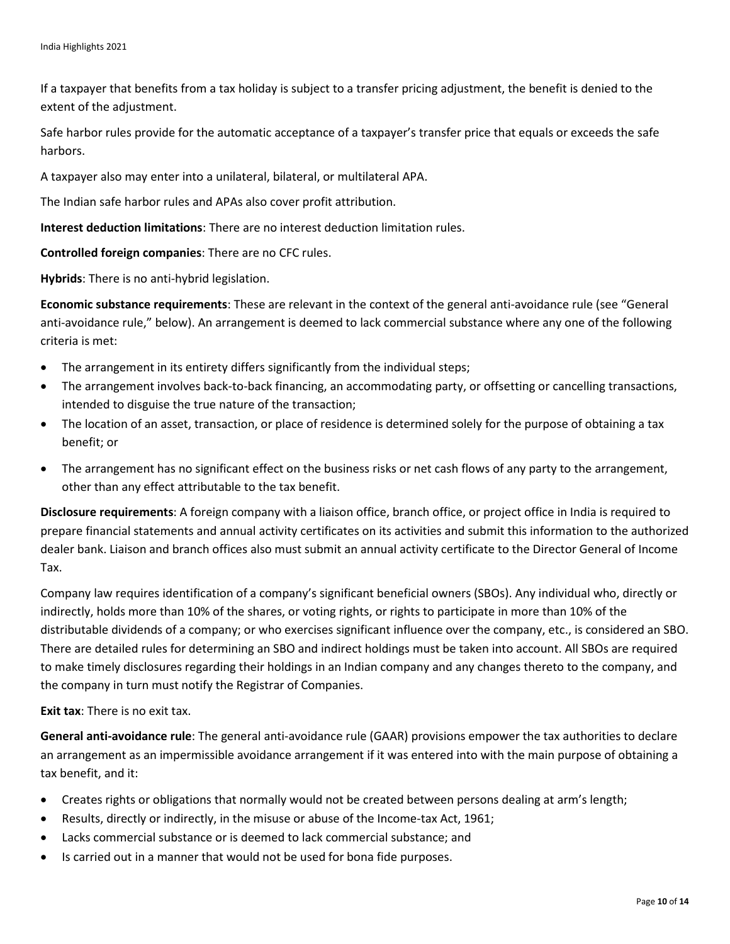If a taxpayer that benefits from a tax holiday is subject to a transfer pricing adjustment, the benefit is denied to the extent of the adjustment.

Safe harbor rules provide for the automatic acceptance of a taxpayer's transfer price that equals or exceeds the safe harbors.

A taxpayer also may enter into a unilateral, bilateral, or multilateral APA.

The Indian safe harbor rules and APAs also cover profit attribution.

**Interest deduction limitations**: There are no interest deduction limitation rules.

**Controlled foreign companies**: There are no CFC rules.

**Hybrids**: There is no anti-hybrid legislation.

**Economic substance requirements**: These are relevant in the context of the general anti-avoidance rule (see "General anti-avoidance rule," below). An arrangement is deemed to lack commercial substance where any one of the following criteria is met:

- The arrangement in its entirety differs significantly from the individual steps;
- The arrangement involves back-to-back financing, an accommodating party, or offsetting or cancelling transactions, intended to disguise the true nature of the transaction;
- The location of an asset, transaction, or place of residence is determined solely for the purpose of obtaining a tax benefit; or
- The arrangement has no significant effect on the business risks or net cash flows of any party to the arrangement, other than any effect attributable to the tax benefit.

**Disclosure requirements**: A foreign company with a liaison office, branch office, or project office in India is required to prepare financial statements and annual activity certificates on its activities and submit this information to the authorized dealer bank. Liaison and branch offices also must submit an annual activity certificate to the Director General of Income Tax.

Company law requires identification of a company's significant beneficial owners (SBOs). Any individual who, directly or indirectly, holds more than 10% of the shares, or voting rights, or rights to participate in more than 10% of the distributable dividends of a company; or who exercises significant influence over the company, etc., is considered an SBO. There are detailed rules for determining an SBO and indirect holdings must be taken into account. All SBOs are required to make timely disclosures regarding their holdings in an Indian company and any changes thereto to the company, and the company in turn must notify the Registrar of Companies.

**Exit tax**: There is no exit tax.

**General anti-avoidance rule**: The general anti-avoidance rule (GAAR) provisions empower the tax authorities to declare an arrangement as an impermissible avoidance arrangement if it was entered into with the main purpose of obtaining a tax benefit, and it:

- Creates rights or obligations that normally would not be created between persons dealing at arm's length;
- Results, directly or indirectly, in the misuse or abuse of the Income-tax Act, 1961;
- Lacks commercial substance or is deemed to lack commercial substance; and
- Is carried out in a manner that would not be used for bona fide purposes.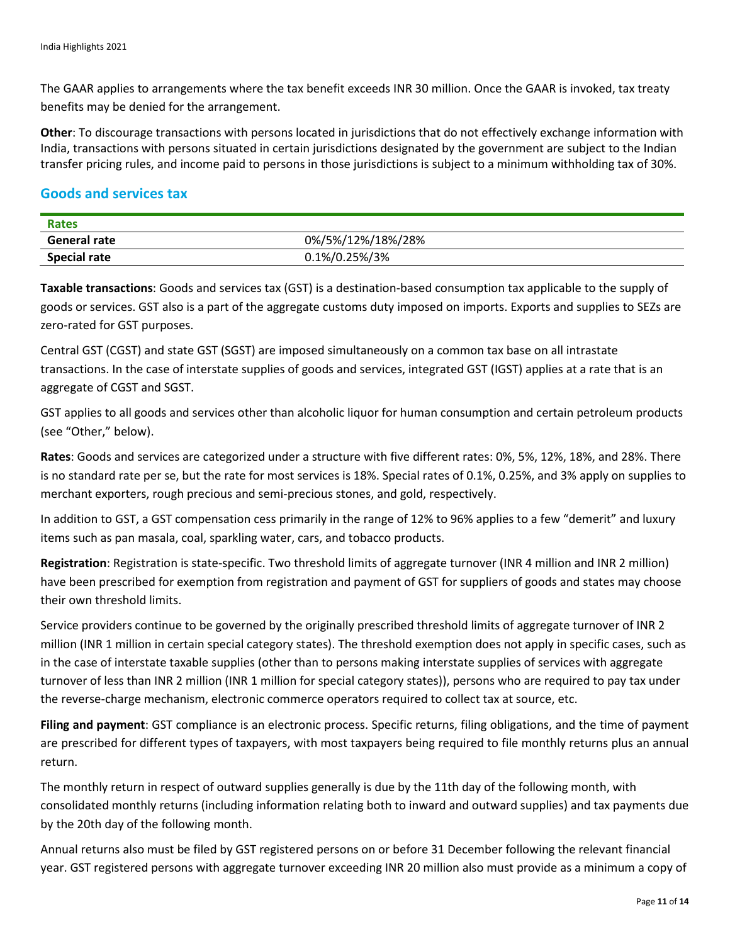The GAAR applies to arrangements where the tax benefit exceeds INR 30 million. Once the GAAR is invoked, tax treaty benefits may be denied for the arrangement.

**Other**: To discourage transactions with persons located in jurisdictions that do not effectively exchange information with India, transactions with persons situated in certain jurisdictions designated by the government are subject to the Indian transfer pricing rules, and income paid to persons in those jurisdictions is subject to a minimum withholding tax of 30%.

#### **Goods and services tax**

| Rates               |                   |
|---------------------|-------------------|
| General rate        | 0%/5%/12%/18%/28% |
| <b>Special rate</b> | 0.1%/0.25%/3%     |

**Taxable transactions**: Goods and services tax (GST) is a destination-based consumption tax applicable to the supply of goods or services. GST also is a part of the aggregate customs duty imposed on imports. Exports and supplies to SEZs are zero-rated for GST purposes.

Central GST (CGST) and state GST (SGST) are imposed simultaneously on a common tax base on all intrastate transactions. In the case of interstate supplies of goods and services, integrated GST (IGST) applies at a rate that is an aggregate of CGST and SGST.

GST applies to all goods and services other than alcoholic liquor for human consumption and certain petroleum products (see "Other," below).

**Rates**: Goods and services are categorized under a structure with five different rates: 0%, 5%, 12%, 18%, and 28%. There is no standard rate per se, but the rate for most services is 18%. Special rates of 0.1%, 0.25%, and 3% apply on supplies to merchant exporters, rough precious and semi-precious stones, and gold, respectively.

In addition to GST, a GST compensation cess primarily in the range of 12% to 96% applies to a few "demerit" and luxury items such as pan masala, coal, sparkling water, cars, and tobacco products.

**Registration**: Registration is state-specific. Two threshold limits of aggregate turnover (INR 4 million and INR 2 million) have been prescribed for exemption from registration and payment of GST for suppliers of goods and states may choose their own threshold limits.

Service providers continue to be governed by the originally prescribed threshold limits of aggregate turnover of INR 2 million (INR 1 million in certain special category states). The threshold exemption does not apply in specific cases, such as in the case of interstate taxable supplies (other than to persons making interstate supplies of services with aggregate turnover of less than INR 2 million (INR 1 million for special category states)), persons who are required to pay tax under the reverse-charge mechanism, electronic commerce operators required to collect tax at source, etc.

**Filing and payment**: GST compliance is an electronic process. Specific returns, filing obligations, and the time of payment are prescribed for different types of taxpayers, with most taxpayers being required to file monthly returns plus an annual return.

The monthly return in respect of outward supplies generally is due by the 11th day of the following month, with consolidated monthly returns (including information relating both to inward and outward supplies) and tax payments due by the 20th day of the following month.

Annual returns also must be filed by GST registered persons on or before 31 December following the relevant financial year. GST registered persons with aggregate turnover exceeding INR 20 million also must provide as a minimum a copy of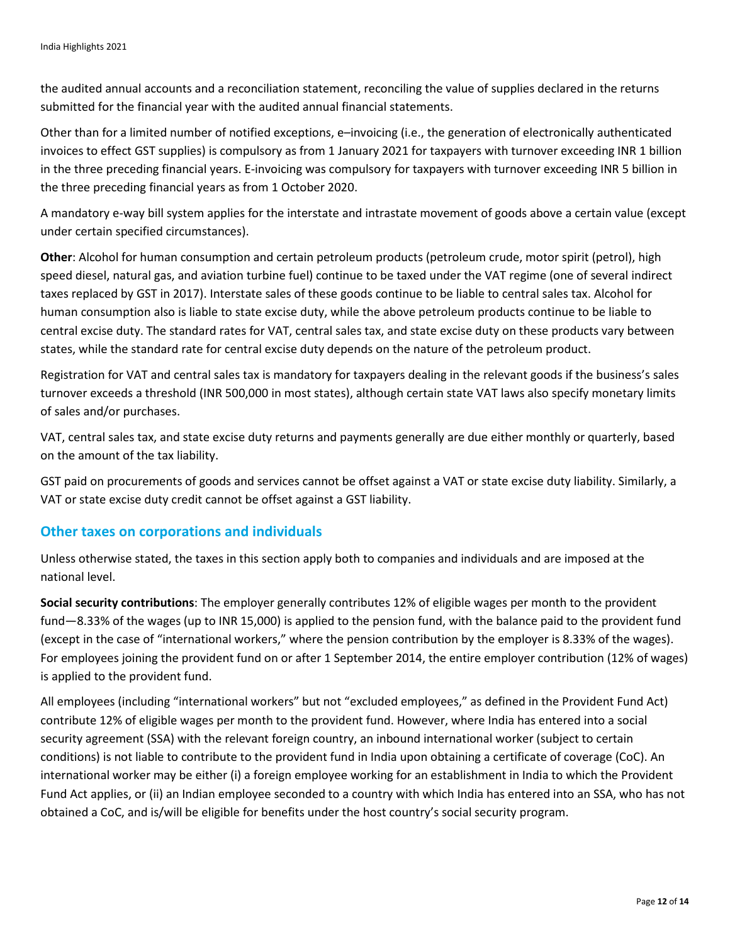the audited annual accounts and a reconciliation statement, reconciling the value of supplies declared in the returns submitted for the financial year with the audited annual financial statements.

Other than for a limited number of notified exceptions, e–invoicing (i.e., the generation of electronically authenticated invoices to effect GST supplies) is compulsory as from 1 January 2021 for taxpayers with turnover exceeding INR 1 billion in the three preceding financial years. E-invoicing was compulsory for taxpayers with turnover exceeding INR 5 billion in the three preceding financial years as from 1 October 2020.

A mandatory e-way bill system applies for the interstate and intrastate movement of goods above a certain value (except under certain specified circumstances).

**Other**: Alcohol for human consumption and certain petroleum products (petroleum crude, motor spirit (petrol), high speed diesel, natural gas, and aviation turbine fuel) continue to be taxed under the VAT regime (one of several indirect taxes replaced by GST in 2017). Interstate sales of these goods continue to be liable to central sales tax. Alcohol for human consumption also is liable to state excise duty, while the above petroleum products continue to be liable to central excise duty. The standard rates for VAT, central sales tax, and state excise duty on these products vary between states, while the standard rate for central excise duty depends on the nature of the petroleum product.

Registration for VAT and central sales tax is mandatory for taxpayers dealing in the relevant goods if the business's sales turnover exceeds a threshold (INR 500,000 in most states), although certain state VAT laws also specify monetary limits of sales and/or purchases.

VAT, central sales tax, and state excise duty returns and payments generally are due either monthly or quarterly, based on the amount of the tax liability.

GST paid on procurements of goods and services cannot be offset against a VAT or state excise duty liability. Similarly, a VAT or state excise duty credit cannot be offset against a GST liability.

## **Other taxes on corporations and individuals**

Unless otherwise stated, the taxes in this section apply both to companies and individuals and are imposed at the national level.

**Social security contributions**: The employer generally contributes 12% of eligible wages per month to the provident fund—8.33% of the wages (up to INR 15,000) is applied to the pension fund, with the balance paid to the provident fund (except in the case of "international workers," where the pension contribution by the employer is 8.33% of the wages). For employees joining the provident fund on or after 1 September 2014, the entire employer contribution (12% of wages) is applied to the provident fund.

All employees (including "international workers" but not "excluded employees," as defined in the Provident Fund Act) contribute 12% of eligible wages per month to the provident fund. However, where India has entered into a social security agreement (SSA) with the relevant foreign country, an inbound international worker (subject to certain conditions) is not liable to contribute to the provident fund in India upon obtaining a certificate of coverage (CoC). An international worker may be either (i) a foreign employee working for an establishment in India to which the Provident Fund Act applies, or (ii) an Indian employee seconded to a country with which India has entered into an SSA, who has not obtained a CoC, and is/will be eligible for benefits under the host country's social security program.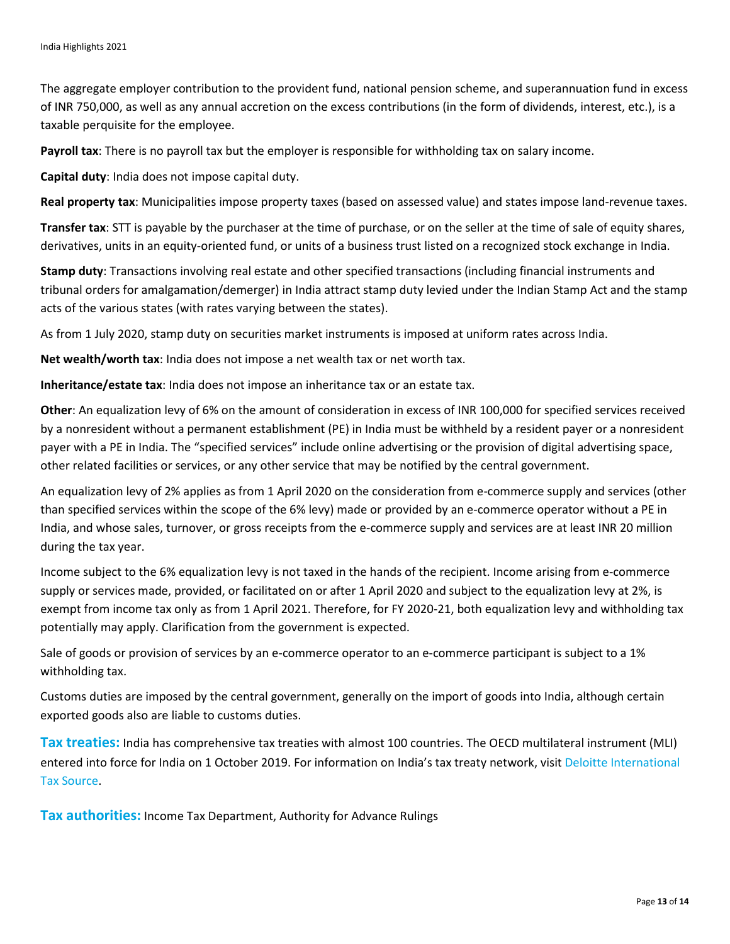The aggregate employer contribution to the provident fund, national pension scheme, and superannuation fund in excess of INR 750,000, as well as any annual accretion on the excess contributions (in the form of dividends, interest, etc.), is a taxable perquisite for the employee.

**Payroll tax**: There is no payroll tax but the employer is responsible for withholding tax on salary income.

**Capital duty**: India does not impose capital duty.

**Real property tax**: Municipalities impose property taxes (based on assessed value) and states impose land-revenue taxes.

**Transfer tax**: STT is payable by the purchaser at the time of purchase, or on the seller at the time of sale of equity shares, derivatives, units in an equity-oriented fund, or units of a business trust listed on a recognized stock exchange in India.

**Stamp duty**: Transactions involving real estate and other specified transactions (including financial instruments and tribunal orders for amalgamation/demerger) in India attract stamp duty levied under the Indian Stamp Act and the stamp acts of the various states (with rates varying between the states).

As from 1 July 2020, stamp duty on securities market instruments is imposed at uniform rates across India.

**Net wealth/worth tax**: India does not impose a net wealth tax or net worth tax.

**Inheritance/estate tax**: India does not impose an inheritance tax or an estate tax.

**Other**: An equalization levy of 6% on the amount of consideration in excess of INR 100,000 for specified services received by a nonresident without a permanent establishment (PE) in India must be withheld by a resident payer or a nonresident payer with a PE in India. The "specified services" include online advertising or the provision of digital advertising space, other related facilities or services, or any other service that may be notified by the central government.

An equalization levy of 2% applies as from 1 April 2020 on the consideration from e-commerce supply and services (other than specified services within the scope of the 6% levy) made or provided by an e-commerce operator without a PE in India, and whose sales, turnover, or gross receipts from the e-commerce supply and services are at least INR 20 million during the tax year.

Income subject to the 6% equalization levy is not taxed in the hands of the recipient. Income arising from e-commerce supply or services made, provided, or facilitated on or after 1 April 2020 and subject to the equalization levy at 2%, is exempt from income tax only as from 1 April 2021. Therefore, for FY 2020-21, both equalization levy and withholding tax potentially may apply. Clarification from the government is expected.

Sale of goods or provision of services by an e-commerce operator to an e-commerce participant is subject to a 1% withholding tax.

Customs duties are imposed by the central government, generally on the import of goods into India, although certain exported goods also are liable to customs duties.

**Tax treaties:** India has comprehensive tax treaties with almost 100 countries. The OECD multilateral instrument (MLI) entered into force for India on 1 October 2019. For information on India's tax treaty network, visit [Deloitte International](https://www.dits.deloitte.com/#Jurisdiction/9)  [Tax Source.](https://www.dits.deloitte.com/#Jurisdiction/9)

**Tax authorities:** Income Tax Department, Authority for Advance Rulings